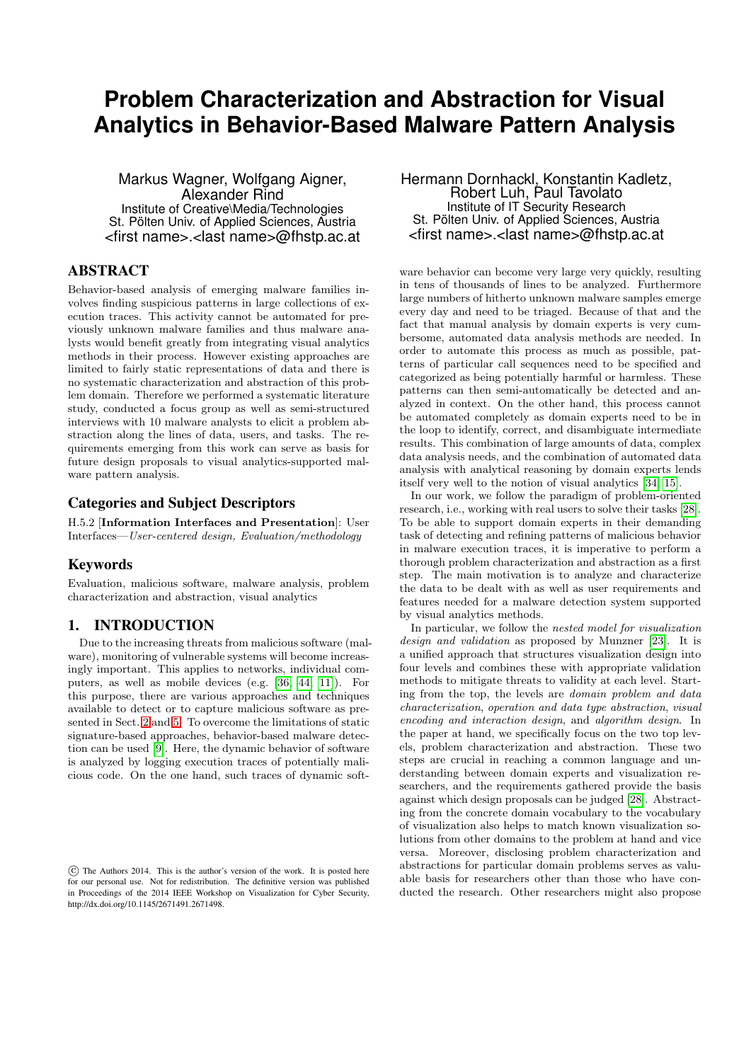# **Problem Characterization and Abstraction for Visual Analytics in Behavior-Based Malware Pattern Analysis**

Markus Wagner, Wolfgang Aigner, Alexander Rind Institute of Creative\Media/Technologies St. Pölten Univ. of Applied Sciences, Austria <first name>.<last name>@fhstp.ac.at

## ABSTRACT

Behavior-based analysis of emerging malware families involves finding suspicious patterns in large collections of execution traces. This activity cannot be automated for previously unknown malware families and thus malware analysts would benefit greatly from integrating visual analytics methods in their process. However existing approaches are limited to fairly static representations of data and there is no systematic characterization and abstraction of this problem domain. Therefore we performed a systematic literature study, conducted a focus group as well as semi-structured interviews with 10 malware analysts to elicit a problem abstraction along the lines of data, users, and tasks. The requirements emerging from this work can serve as basis for future design proposals to visual analytics-supported malware pattern analysis.

## Categories and Subject Descriptors

H.5.2 [Information Interfaces and Presentation]: User Interfaces—User-centered design, Evaluation/methodology

## Keywords

Evaluation, malicious software, malware analysis, problem characterization and abstraction, visual analytics

#### 1. INTRODUCTION

Due to the increasing threats from malicious software (malware), monitoring of vulnerable systems will become increasingly important. This applies to networks, individual computers, as well as mobile devices (e.g. [\[36,](#page-7-0) [44,](#page-7-1) [11\]](#page-7-2)). For this purpose, there are various approaches and techniques available to detect or to capture malicious software as presented in Sect. [2](#page-1-0) and [5.](#page-3-0) To overcome the limitations of static signature-based approaches, behavior-based malware detection can be used [\[9\]](#page-6-0). Here, the dynamic behavior of software is analyzed by logging execution traces of potentially malicious code. On the one hand, such traces of dynamic softHermann Dornhackl, Konstantin Kadletz, Robert Luh, Paul Tavolato Institute of IT Security Research St. Pölten Univ. of Applied Sciences, Austria <first name>.<last name>@fhstp.ac.at

ware behavior can become very large very quickly, resulting in tens of thousands of lines to be analyzed. Furthermore large numbers of hitherto unknown malware samples emerge every day and need to be triaged. Because of that and the fact that manual analysis by domain experts is very cumbersome, automated data analysis methods are needed. In order to automate this process as much as possible, patterns of particular call sequences need to be specified and categorized as being potentially harmful or harmless. These patterns can then semi-automatically be detected and analyzed in context. On the other hand, this process cannot be automated completely as domain experts need to be in the loop to identify, correct, and disambiguate intermediate results. This combination of large amounts of data, complex data analysis needs, and the combination of automated data analysis with analytical reasoning by domain experts lends itself very well to the notion of visual analytics [\[34,](#page-7-3) [15\]](#page-7-4).

In our work, we follow the paradigm of problem-oriented research, i.e., working with real users to solve their tasks [\[28\]](#page-7-5). To be able to support domain experts in their demanding task of detecting and refining patterns of malicious behavior in malware execution traces, it is imperative to perform a thorough problem characterization and abstraction as a first step. The main motivation is to analyze and characterize the data to be dealt with as well as user requirements and features needed for a malware detection system supported by visual analytics methods.

In particular, we follow the nested model for visualization design and validation as proposed by Munzner [\[23\]](#page-7-6). It is a unified approach that structures visualization design into four levels and combines these with appropriate validation methods to mitigate threats to validity at each level. Starting from the top, the levels are domain problem and data characterization, operation and data type abstraction, visual encoding and interaction design, and algorithm design. In the paper at hand, we specifically focus on the two top levels, problem characterization and abstraction. These two steps are crucial in reaching a common language and understanding between domain experts and visualization researchers, and the requirements gathered provide the basis against which design proposals can be judged [\[28\]](#page-7-5). Abstracting from the concrete domain vocabulary to the vocabulary of visualization also helps to match known visualization solutions from other domains to the problem at hand and vice versa. Moreover, disclosing problem characterization and abstractions for particular domain problems serves as valuable basis for researchers other than those who have conducted the research. Other researchers might also propose

c The Authors 2014. This is the author's version of the work. It is posted here for our personal use. Not for redistribution. The definitive version was published in Proceedings of the 2014 IEEE Workshop on Visualization for Cyber Security, http://dx.doi.org/10.1145/2671491.2671498.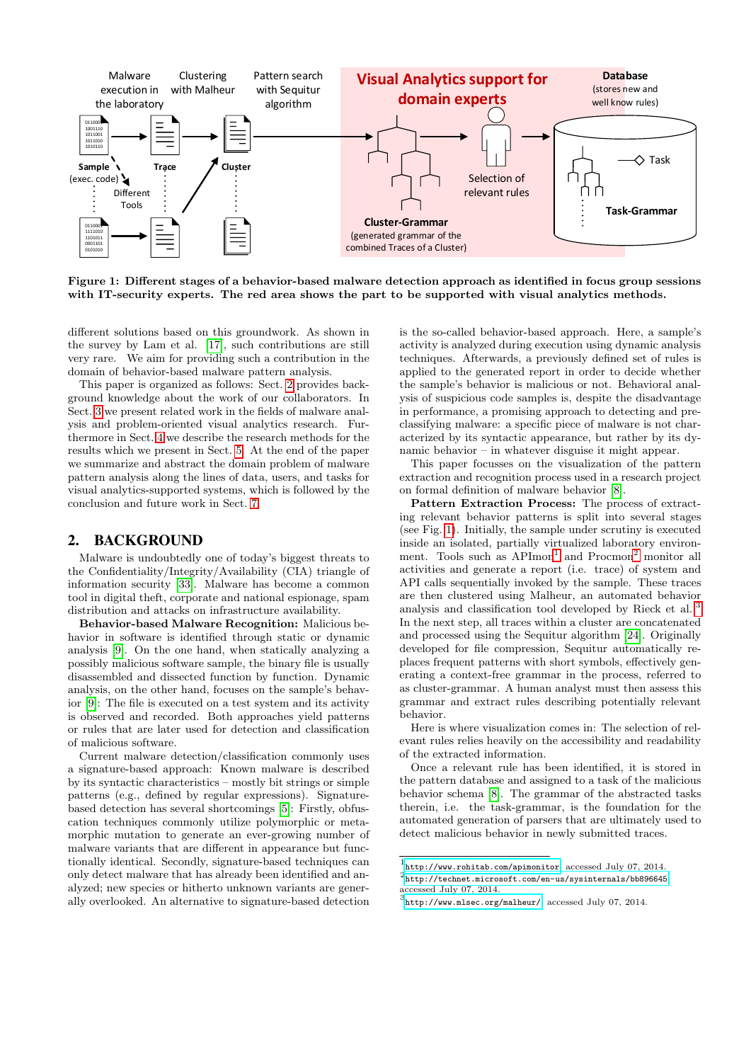

<span id="page-1-1"></span>Figure 1: Different stages of a behavior-based malware detection approach as identified in focus group sessions with IT-security experts. The red area shows the part to be supported with visual analytics methods.

different solutions based on this groundwork. As shown in the survey by Lam et al. [\[17\]](#page-7-7), such contributions are still very rare. We aim for providing such a contribution in the domain of behavior-based malware pattern analysis.

This paper is organized as follows: Sect. [2](#page-1-0) provides background knowledge about the work of our collaborators. In Sect. [3](#page-2-0) we present related work in the fields of malware analysis and problem-oriented visual analytics research. Furthermore in Sect. [4](#page-2-1) we describe the research methods for the results which we present in Sect. [5.](#page-3-0) At the end of the paper we summarize and abstract the domain problem of malware pattern analysis along the lines of data, users, and tasks for visual analytics-supported systems, which is followed by the conclusion and future work in Sect. [7.](#page-6-1)

#### <span id="page-1-0"></span>2. BACKGROUND

Malware is undoubtedly one of today's biggest threats to the Confidentiality/Integrity/Availability (CIA) triangle of information security [\[33\]](#page-7-8). Malware has become a common tool in digital theft, corporate and national espionage, spam distribution and attacks on infrastructure availability.

Behavior-based Malware Recognition: Malicious behavior in software is identified through static or dynamic analysis [\[9\]](#page-6-0). On the one hand, when statically analyzing a possibly malicious software sample, the binary file is usually disassembled and dissected function by function. Dynamic analysis, on the other hand, focuses on the sample's behavior [\[9\]](#page-6-0): The file is executed on a test system and its activity is observed and recorded. Both approaches yield patterns or rules that are later used for detection and classification of malicious software.

Current malware detection/classification commonly uses a signature-based approach: Known malware is described by its syntactic characteristics – mostly bit strings or simple patterns (e.g., defined by regular expressions). Signaturebased detection has several shortcomings [\[5\]](#page-6-2): Firstly, obfuscation techniques commonly utilize polymorphic or metamorphic mutation to generate an ever-growing number of malware variants that are different in appearance but functionally identical. Secondly, signature-based techniques can only detect malware that has already been identified and analyzed; new species or hitherto unknown variants are generally overlooked. An alternative to signature-based detection

is the so-called behavior-based approach. Here, a sample's activity is analyzed during execution using dynamic analysis techniques. Afterwards, a previously defined set of rules is applied to the generated report in order to decide whether the sample's behavior is malicious or not. Behavioral analysis of suspicious code samples is, despite the disadvantage in performance, a promising approach to detecting and preclassifying malware: a specific piece of malware is not characterized by its syntactic appearance, but rather by its dynamic behavior – in whatever disguise it might appear.

This paper focusses on the visualization of the pattern extraction and recognition process used in a research project on formal definition of malware behavior [\[8\]](#page-6-3).

Pattern Extraction Process: The process of extracting relevant behavior patterns is split into several stages (see Fig. [1\)](#page-1-1). Initially, the sample under scrutiny is executed inside an isolated, partially virtualized laboratory environ-ment. Tools such as APImon<sup>[1](#page-1-2)</sup> and Procmon<sup>[2](#page-1-3)</sup> monitor all activities and generate a report (i.e. trace) of system and API calls sequentially invoked by the sample. These traces are then clustered using Malheur, an automated behavior analysis and classification tool developed by Rieck et al..<sup>[3](#page-1-4)</sup> In the next step, all traces within a cluster are concatenated and processed using the Sequitur algorithm [\[24\]](#page-7-9). Originally developed for file compression, Sequitur automatically replaces frequent patterns with short symbols, effectively generating a context-free grammar in the process, referred to as cluster-grammar. A human analyst must then assess this grammar and extract rules describing potentially relevant behavior.

Here is where visualization comes in: The selection of relevant rules relies heavily on the accessibility and readability of the extracted information.

Once a relevant rule has been identified, it is stored in the pattern database and assigned to a task of the malicious behavior schema [\[8\]](#page-6-3). The grammar of the abstracted tasks therein, i.e. the task-grammar, is the foundation for the automated generation of parsers that are ultimately used to detect malicious behavior in newly submitted traces.

<span id="page-1-3"></span><span id="page-1-2"></span><sup>1</sup> <http://www.rohitab.com/apimonitor>, accessed July 07, 2014. 2 <http://technet.microsoft.com/en-us/sysinternals/bb896645>,

accessed July 07, 2014.

<span id="page-1-4"></span><sup>3</sup> <http://www.mlsec.org/malheur/>, accessed July 07, 2014.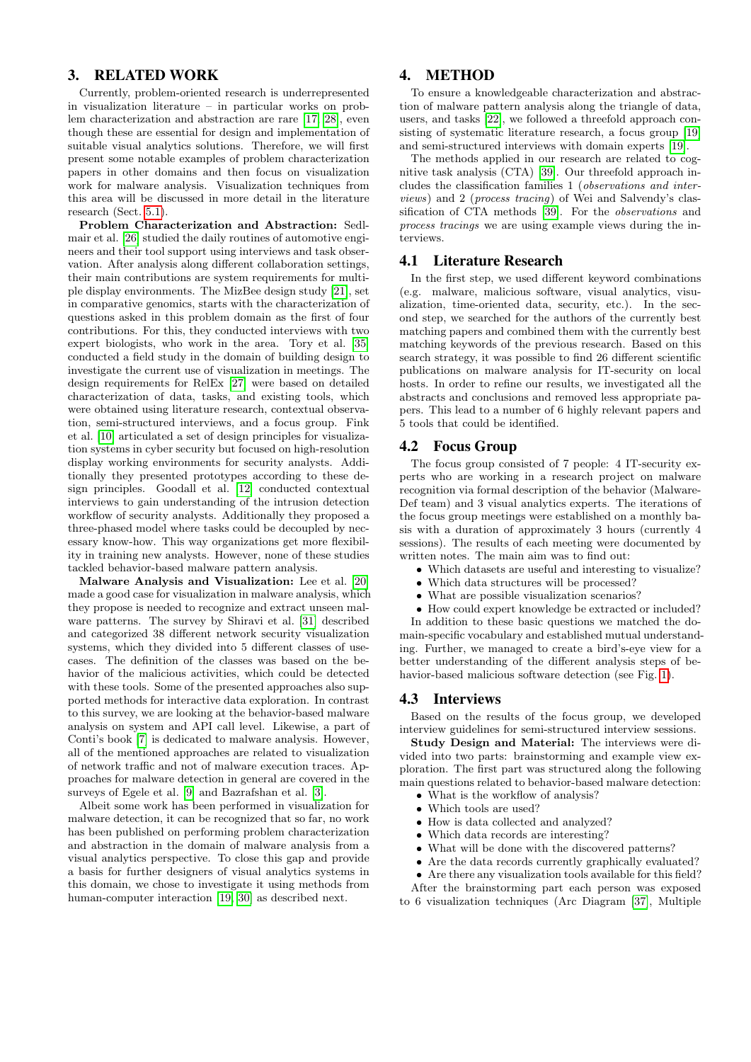## <span id="page-2-0"></span>3. RELATED WORK

Currently, problem-oriented research is underrepresented in visualization literature – in particular works on problem characterization and abstraction are rare [\[17,](#page-7-7) [28\]](#page-7-5), even though these are essential for design and implementation of suitable visual analytics solutions. Therefore, we will first present some notable examples of problem characterization papers in other domains and then focus on visualization work for malware analysis. Visualization techniques from this area will be discussed in more detail in the literature research (Sect. [5.1\)](#page-3-1).

Problem Characterization and Abstraction: Sedlmair et al. [\[26\]](#page-7-10) studied the daily routines of automotive engineers and their tool support using interviews and task observation. After analysis along different collaboration settings, their main contributions are system requirements for multiple display environments. The MizBee design study [\[21\]](#page-7-11), set in comparative genomics, starts with the characterization of questions asked in this problem domain as the first of four contributions. For this, they conducted interviews with two expert biologists, who work in the area. Tory et al. [\[35\]](#page-7-12) conducted a field study in the domain of building design to investigate the current use of visualization in meetings. The design requirements for RelEx [\[27\]](#page-7-13) were based on detailed characterization of data, tasks, and existing tools, which were obtained using literature research, contextual observation, semi-structured interviews, and a focus group. Fink et al. [\[10\]](#page-7-14) articulated a set of design principles for visualization systems in cyber security but focused on high-resolution display working environments for security analysts. Additionally they presented prototypes according to these design principles. Goodall et al. [\[12\]](#page-7-15) conducted contextual interviews to gain understanding of the intrusion detection workflow of security analysts. Additionally they proposed a three-phased model where tasks could be decoupled by necessary know-how. This way organizations get more flexibility in training new analysts. However, none of these studies tackled behavior-based malware pattern analysis.

Malware Analysis and Visualization: Lee et al. [\[20\]](#page-7-16) made a good case for visualization in malware analysis, which they propose is needed to recognize and extract unseen malware patterns. The survey by Shiravi et al. [\[31\]](#page-7-17) described and categorized 38 different network security visualization systems, which they divided into 5 different classes of usecases. The definition of the classes was based on the behavior of the malicious activities, which could be detected with these tools. Some of the presented approaches also supported methods for interactive data exploration. In contrast to this survey, we are looking at the behavior-based malware analysis on system and API call level. Likewise, a part of Conti's book [\[7\]](#page-6-4) is dedicated to malware analysis. However, all of the mentioned approaches are related to visualization of network traffic and not of malware execution traces. Approaches for malware detection in general are covered in the surveys of Egele et al. [\[9\]](#page-6-0) and Bazrafshan et al. [\[3\]](#page-6-5).

Albeit some work has been performed in visualization for malware detection, it can be recognized that so far, no work has been published on performing problem characterization and abstraction in the domain of malware analysis from a visual analytics perspective. To close this gap and provide a basis for further designers of visual analytics systems in this domain, we chose to investigate it using methods from human-computer interaction [\[19,](#page-7-18) [30\]](#page-7-19) as described next.

## <span id="page-2-1"></span>4. METHOD

To ensure a knowledgeable characterization and abstraction of malware pattern analysis along the triangle of data, users, and tasks [\[22\]](#page-7-20), we followed a threefold approach consisting of systematic literature research, a focus group [\[19\]](#page-7-18) and semi-structured interviews with domain experts [\[19\]](#page-7-18).

The methods applied in our research are related to cognitive task analysis (CTA) [\[39\]](#page-7-21). Our threefold approach includes the classification families 1 (observations and interviews) and 2 (process tracing) of Wei and Salvendy's classification of CTA methods [\[39\]](#page-7-21). For the observations and process tracings we are using example views during the interviews.

#### 4.1 Literature Research

In the first step, we used different keyword combinations (e.g. malware, malicious software, visual analytics, visualization, time-oriented data, security, etc.). In the second step, we searched for the authors of the currently best matching papers and combined them with the currently best matching keywords of the previous research. Based on this search strategy, it was possible to find 26 different scientific publications on malware analysis for IT-security on local hosts. In order to refine our results, we investigated all the abstracts and conclusions and removed less appropriate papers. This lead to a number of 6 highly relevant papers and 5 tools that could be identified.

#### 4.2 Focus Group

The focus group consisted of 7 people: 4 IT-security experts who are working in a research project on malware recognition via formal description of the behavior (Malware-Def team) and 3 visual analytics experts. The iterations of the focus group meetings were established on a monthly basis with a duration of approximately 3 hours (currently 4 sessions). The results of each meeting were documented by written notes. The main aim was to find out:

- Which datasets are useful and interesting to visualize?
- Which data structures will be processed?
- What are possible visualization scenarios?
- How could expert knowledge be extracted or included?

In addition to these basic questions we matched the domain-specific vocabulary and established mutual understanding. Further, we managed to create a bird's-eye view for a better understanding of the different analysis steps of behavior-based malicious software detection (see Fig. [1\)](#page-1-1).

#### 4.3 Interviews

Based on the results of the focus group, we developed interview guidelines for semi-structured interview sessions.

Study Design and Material: The interviews were divided into two parts: brainstorming and example view exploration. The first part was structured along the following main questions related to behavior-based malware detection:

- What is the workflow of analysis?
- Which tools are used?
- How is data collected and analyzed?
- Which data records are interesting?
- What will be done with the discovered patterns?
- Are the data records currently graphically evaluated?
- Are there any visualization tools available for this field?

After the brainstorming part each person was exposed to 6 visualization techniques (Arc Diagram [\[37\]](#page-7-22), Multiple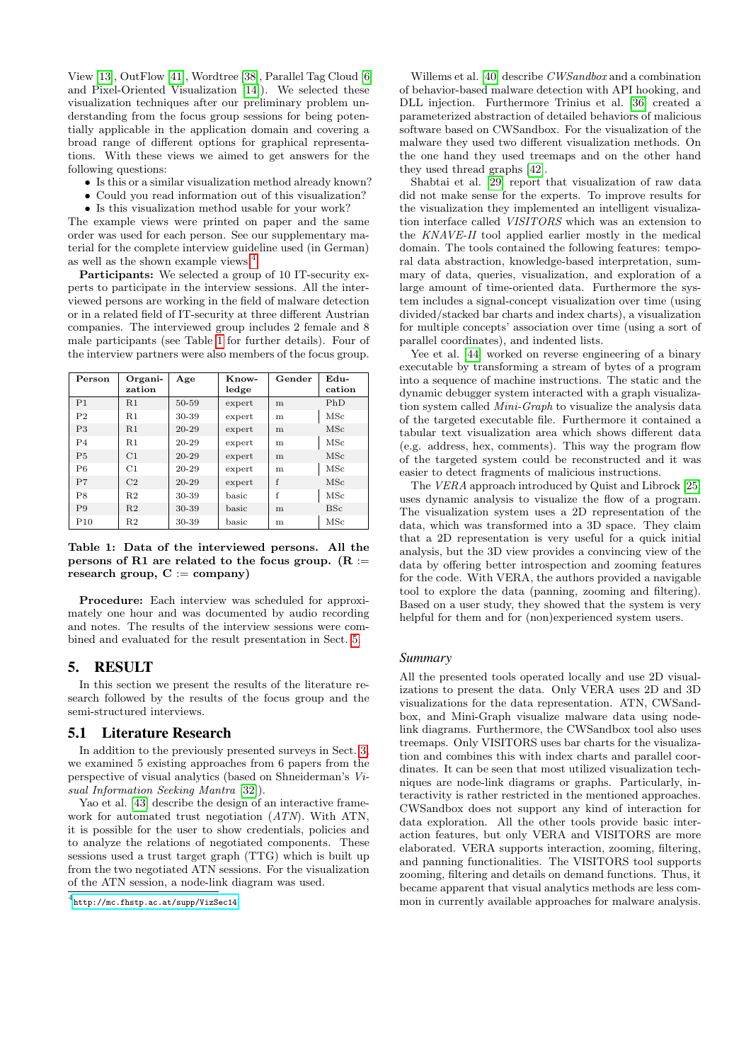View [\[13\]](#page-7-23), OutFlow [\[41\]](#page-7-24), Wordtree [\[38\]](#page-7-25), Parallel Tag Cloud [\[6\]](#page-6-6) and Pixel-Oriented Visualization [\[14\]](#page-7-26)). We selected these visualization techniques after our preliminary problem understanding from the focus group sessions for being potentially applicable in the application domain and covering a broad range of different options for graphical representations. With these views we aimed to get answers for the following questions:

- Is this or a similar visualization method already known?
- Could you read information out of this visualization?
- Is this visualization method usable for your work?

The example views were printed on paper and the same order was used for each person. See our supplementary material for the complete interview guideline used (in German) as well as the shown example views.[4](#page-3-2)

Participants: We selected a group of 10 IT-security experts to participate in the interview sessions. All the interviewed persons are working in the field of malware detection or in a related field of IT-security at three different Austrian companies. The interviewed group includes 2 female and 8 male participants (see Table [1](#page-3-3) for further details). Four of the interview partners were also members of the focus group.

| Person         | Organi-<br>zation | Age   | Know-<br>ledge | Gender | Edu-<br>cation |
|----------------|-------------------|-------|----------------|--------|----------------|
| P1             | R1                | 50-59 | expert         | m      | PhD            |
| P <sub>2</sub> | R1                | 30-39 | expert         | m      | $_{\rm{MSC}}$  |
| P <sub>3</sub> | R1                | 20-29 | expert         | m      | MSc            |
| P <sub>4</sub> | R1                | 20-29 | expert         | m      | MSc            |
| P <sub>5</sub> | C1                | 20-29 | expert         | m      | MSc            |
| P <sub>6</sub> | C1                | 20-29 | expert         | m      | MSc            |
| P7             | C <sub>2</sub>    | 20-29 | expert         | f      | MSc            |
| P8             | R <sub>2</sub>    | 30-39 | basic          | f      | MSc            |
| P <sub>9</sub> | R <sub>2</sub>    | 30-39 | basic          | m      | $_{\rm BSc}$   |
| P10            | R2                | 30-39 | basic          | m      | $_{\rm{MSC}}$  |

<span id="page-3-3"></span>Table 1: Data of the interviewed persons. All the persons of R1 are related to the focus group.  $(R :=$ research group, C := company)

Procedure: Each interview was scheduled for approximately one hour and was documented by audio recording and notes. The results of the interview sessions were combined and evaluated for the result presentation in Sect. [5.](#page-3-0)

#### <span id="page-3-0"></span>5. RESULT

In this section we present the results of the literature research followed by the results of the focus group and the semi-structured interviews.

#### <span id="page-3-1"></span>5.1 Literature Research

In addition to the previously presented surveys in Sect. [3,](#page-2-0) we examined 5 existing approaches from 6 papers from the perspective of visual analytics (based on Shneiderman's Visual Information Seeking Mantra [\[32\]](#page-7-27)).

Yao et al. [\[43\]](#page-7-28) describe the design of an interactive framework for automated trust negotiation (ATN). With ATN, it is possible for the user to show credentials, policies and to analyze the relations of negotiated components. These sessions used a trust target graph (TTG) which is built up from the two negotiated ATN sessions. For the visualization of the ATN session, a node-link diagram was used.

Willems et al. [\[40\]](#page-7-29) describe CWSandbox and a combination of behavior-based malware detection with API hooking, and DLL injection. Furthermore Trinius et al. [\[36\]](#page-7-0) created a parameterized abstraction of detailed behaviors of malicious software based on CWSandbox. For the visualization of the malware they used two different visualization methods. On the one hand they used treemaps and on the other hand they used thread graphs [\[42\]](#page-7-30).

Shabtai et al. [\[29\]](#page-7-31) report that visualization of raw data did not make sense for the experts. To improve results for the visualization they implemented an intelligent visualization interface called VISITORS which was an extension to the KNAVE-II tool applied earlier mostly in the medical domain. The tools contained the following features: temporal data abstraction, knowledge-based interpretation, summary of data, queries, visualization, and exploration of a large amount of time-oriented data. Furthermore the system includes a signal-concept visualization over time (using divided/stacked bar charts and index charts), a visualization for multiple concepts' association over time (using a sort of parallel coordinates), and indented lists.

Yee et al. [\[44\]](#page-7-1) worked on reverse engineering of a binary executable by transforming a stream of bytes of a program into a sequence of machine instructions. The static and the dynamic debugger system interacted with a graph visualization system called Mini-Graph to visualize the analysis data of the targeted executable file. Furthermore it contained a tabular text visualization area which shows different data (e.g. address, hex, comments). This way the program flow of the targeted system could be reconstructed and it was easier to detect fragments of malicious instructions.

The VERA approach introduced by Quist and Librock [\[25\]](#page-7-32) uses dynamic analysis to visualize the flow of a program. The visualization system uses a 2D representation of the data, which was transformed into a 3D space. They claim that a 2D representation is very useful for a quick initial analysis, but the 3D view provides a convincing view of the data by offering better introspection and zooming features for the code. With VERA, the authors provided a navigable tool to explore the data (panning, zooming and filtering). Based on a user study, they showed that the system is very helpful for them and for (non)experienced system users.

#### *Summary*

All the presented tools operated locally and use 2D visualizations to present the data. Only VERA uses 2D and 3D visualizations for the data representation. ATN, CWSandbox, and Mini-Graph visualize malware data using nodelink diagrams. Furthermore, the CWSandbox tool also uses treemaps. Only VISITORS uses bar charts for the visualization and combines this with index charts and parallel coordinates. It can be seen that most utilized visualization techniques are node-link diagrams or graphs. Particularly, interactivity is rather restricted in the mentioned approaches. CWSandbox does not support any kind of interaction for data exploration. All the other tools provide basic interaction features, but only VERA and VISITORS are more elaborated. VERA supports interaction, zooming, filtering, and panning functionalities. The VISITORS tool supports zooming, filtering and details on demand functions. Thus, it became apparent that visual analytics methods are less common in currently available approaches for malware analysis.

<span id="page-3-2"></span> $^4$ <http://mc.fhstp.ac.at/supp/VizSec14>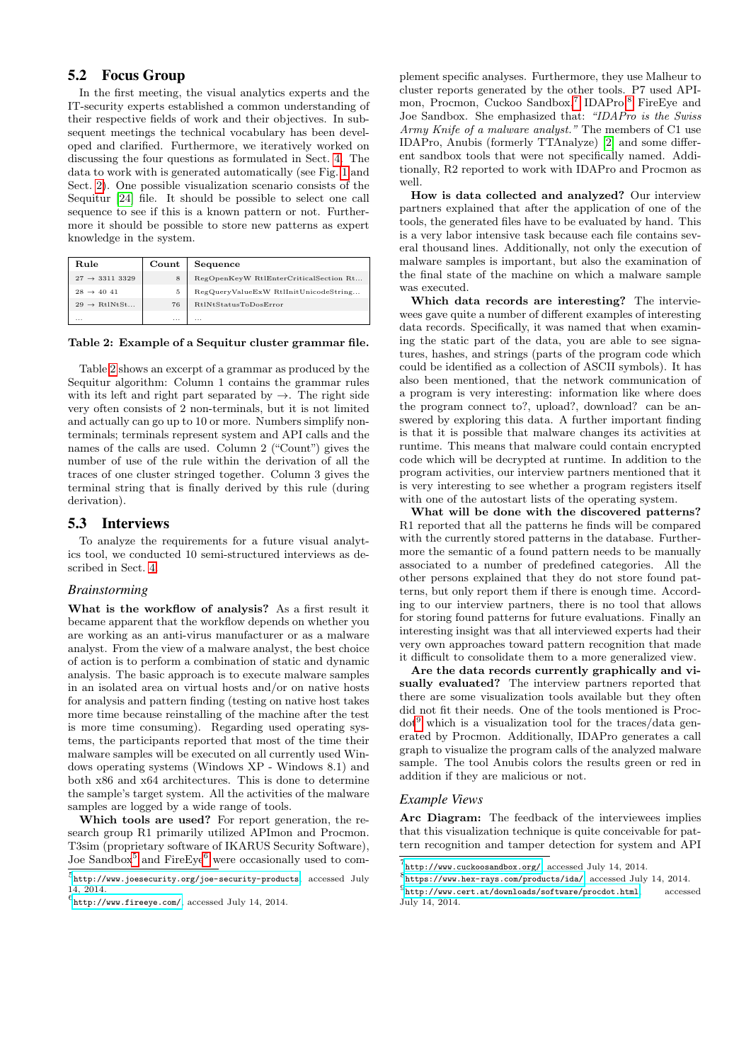## 5.2 Focus Group

In the first meeting, the visual analytics experts and the IT-security experts established a common understanding of their respective fields of work and their objectives. In subsequent meetings the technical vocabulary has been developed and clarified. Furthermore, we iteratively worked on discussing the four questions as formulated in Sect. [4.](#page-2-1) The data to work with is generated automatically (see Fig. [1](#page-1-1) and Sect. [2\)](#page-1-0). One possible visualization scenario consists of the Sequitur [\[24\]](#page-7-9) file. It should be possible to select one call sequence to see if this is a known pattern or not. Furthermore it should be possible to store new patterns as expert knowledge in the system.

| Rule<br>Count             |          | Sequence                               |  |  |
|---------------------------|----------|----------------------------------------|--|--|
| $27 \rightarrow 33113329$ | 8        | RegOpenKeyW RtlEnterCriticalSection Rt |  |  |
| $28 \rightarrow 40 41$    | 5        | RegQueryValueExW RtlInitUnicodeString  |  |  |
| $29 \rightarrow Rt1NtSt$  | 76       | RtlNtStatusToDosError                  |  |  |
| $\cdots$                  | $\cdots$ |                                        |  |  |

#### <span id="page-4-0"></span>Table 2: Example of a Sequitur cluster grammar file.

Table [2](#page-4-0) shows an excerpt of a grammar as produced by the Sequitur algorithm: Column 1 contains the grammar rules with its left and right part separated by  $\rightarrow$ . The right side very often consists of 2 non-terminals, but it is not limited and actually can go up to 10 or more. Numbers simplify nonterminals; terminals represent system and API calls and the names of the calls are used. Column 2 ("Count") gives the number of use of the rule within the derivation of all the traces of one cluster stringed together. Column 3 gives the terminal string that is finally derived by this rule (during derivation).

#### 5.3 Interviews

To analyze the requirements for a future visual analytics tool, we conducted 10 semi-structured interviews as described in Sect. [4.](#page-2-1)

#### *Brainstorming*

What is the workflow of analysis? As a first result it became apparent that the workflow depends on whether you are working as an anti-virus manufacturer or as a malware analyst. From the view of a malware analyst, the best choice of action is to perform a combination of static and dynamic analysis. The basic approach is to execute malware samples in an isolated area on virtual hosts and/or on native hosts for analysis and pattern finding (testing on native host takes more time because reinstalling of the machine after the test is more time consuming). Regarding used operating systems, the participants reported that most of the time their malware samples will be executed on all currently used Windows operating systems (Windows XP - Windows 8.1) and both x86 and x64 architectures. This is done to determine the sample's target system. All the activities of the malware samples are logged by a wide range of tools.

Which tools are used? For report generation, the research group R1 primarily utilized APImon and Procmon. T3sim (proprietary software of IKARUS Security Software), Joe Sandbox<sup>[5](#page-4-1)</sup> and FireEye<sup>[6](#page-4-2)</sup> were occasionally used to com-

plement specific analyses. Furthermore, they use Malheur to cluster reports generated by the other tools. P7 used API-mon, Procmon, Cuckoo Sandbox,<sup>[7](#page-4-3)</sup> IDAPro,<sup>[8](#page-4-4)</sup> FireEye and Joe Sandbox. She emphasized that: "IDAPro is the Swiss Army Knife of a malware analyst." The members of C1 use IDAPro, Anubis (formerly TTAnalyze) [\[2\]](#page-6-7) and some different sandbox tools that were not specifically named. Additionally, R2 reported to work with IDAPro and Procmon as well.

How is data collected and analyzed? Our interview partners explained that after the application of one of the tools, the generated files have to be evaluated by hand. This is a very labor intensive task because each file contains several thousand lines. Additionally, not only the execution of malware samples is important, but also the examination of the final state of the machine on which a malware sample was executed.

Which data records are interesting? The interviewees gave quite a number of different examples of interesting data records. Specifically, it was named that when examining the static part of the data, you are able to see signatures, hashes, and strings (parts of the program code which could be identified as a collection of ASCII symbols). It has also been mentioned, that the network communication of a program is very interesting: information like where does the program connect to?, upload?, download? can be answered by exploring this data. A further important finding is that it is possible that malware changes its activities at runtime. This means that malware could contain encrypted code which will be decrypted at runtime. In addition to the program activities, our interview partners mentioned that it is very interesting to see whether a program registers itself with one of the autostart lists of the operating system.

What will be done with the discovered patterns? R1 reported that all the patterns he finds will be compared with the currently stored patterns in the database. Furthermore the semantic of a found pattern needs to be manually associated to a number of predefined categories. All the other persons explained that they do not store found patterns, but only report them if there is enough time. According to our interview partners, there is no tool that allows for storing found patterns for future evaluations. Finally an interesting insight was that all interviewed experts had their very own approaches toward pattern recognition that made it difficult to consolidate them to a more generalized view.

Are the data records currently graphically and visually evaluated? The interview partners reported that there are some visualization tools available but they often did not fit their needs. One of the tools mentioned is Proc- $dot<sup>9</sup>$  $dot<sup>9</sup>$  $dot<sup>9</sup>$  which is a visualization tool for the traces/data generated by Procmon. Additionally, IDAPro generates a call graph to visualize the program calls of the analyzed malware sample. The tool Anubis colors the results green or red in addition if they are malicious or not.

#### *Example Views*

Arc Diagram: The feedback of the interviewees implies that this visualization technique is quite conceivable for pattern recognition and tamper detection for system and API

<span id="page-4-1"></span><sup>5</sup> <http://www.joesecurity.org/joe-security-products>, accessed July  $14, 2014.$ 

<span id="page-4-2"></span> $^6$ <http://www.fireeye.com/>, accessed July 14, 2014.

<span id="page-4-3"></span><sup>7</sup> <http://www.cuckoosandbox.org/>, accessed July 14, 2014.

<span id="page-4-4"></span><sup>8</sup> <https://www.hex-rays.com/products/ida/>, accessed July 14, 2014.

<span id="page-4-5"></span><sup>9</sup> <http://www.cert.at/downloads/software/procdot.html>, accessed July 14, 2014.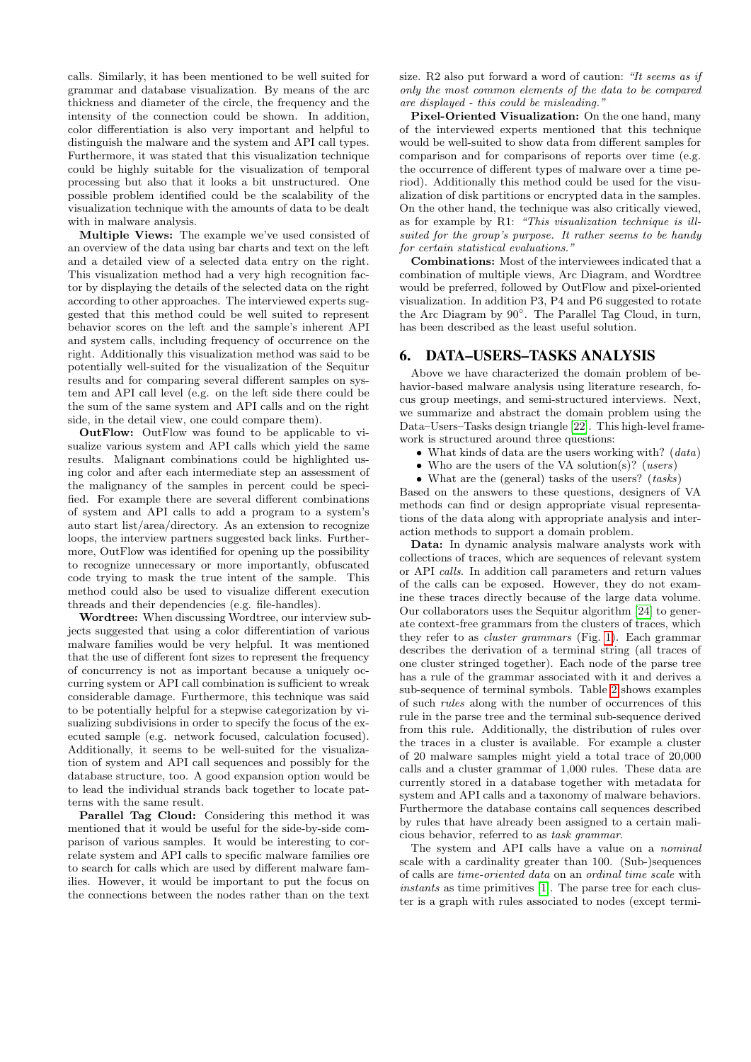calls. Similarly, it has been mentioned to be well suited for grammar and database visualization. By means of the arc thickness and diameter of the circle, the frequency and the intensity of the connection could be shown. In addition, color differentiation is also very important and helpful to distinguish the malware and the system and API call types. Furthermore, it was stated that this visualization technique could be highly suitable for the visualization of temporal processing but also that it looks a bit unstructured. One possible problem identified could be the scalability of the visualization technique with the amounts of data to be dealt with in malware analysis.

Multiple Views: The example we've used consisted of an overview of the data using bar charts and text on the left and a detailed view of a selected data entry on the right. This visualization method had a very high recognition factor by displaying the details of the selected data on the right according to other approaches. The interviewed experts suggested that this method could be well suited to represent behavior scores on the left and the sample's inherent API and system calls, including frequency of occurrence on the right. Additionally this visualization method was said to be potentially well-suited for the visualization of the Sequitur results and for comparing several different samples on system and API call level (e.g. on the left side there could be the sum of the same system and API calls and on the right side, in the detail view, one could compare them).

OutFlow: OutFlow was found to be applicable to visualize various system and API calls which yield the same results. Malignant combinations could be highlighted using color and after each intermediate step an assessment of the malignancy of the samples in percent could be specified. For example there are several different combinations of system and API calls to add a program to a system's auto start list/area/directory. As an extension to recognize loops, the interview partners suggested back links. Furthermore, OutFlow was identified for opening up the possibility to recognize unnecessary or more importantly, obfuscated code trying to mask the true intent of the sample. This method could also be used to visualize different execution threads and their dependencies (e.g. file-handles).

Wordtree: When discussing Wordtree, our interview subjects suggested that using a color differentiation of various malware families would be very helpful. It was mentioned that the use of different font sizes to represent the frequency of concurrency is not as important because a uniquely occurring system or API call combination is sufficient to wreak considerable damage. Furthermore, this technique was said to be potentially helpful for a stepwise categorization by visualizing subdivisions in order to specify the focus of the executed sample (e.g. network focused, calculation focused). Additionally, it seems to be well-suited for the visualization of system and API call sequences and possibly for the database structure, too. A good expansion option would be to lead the individual strands back together to locate patterns with the same result.

Parallel Tag Cloud: Considering this method it was mentioned that it would be useful for the side-by-side comparison of various samples. It would be interesting to correlate system and API calls to specific malware families ore to search for calls which are used by different malware families. However, it would be important to put the focus on the connections between the nodes rather than on the text

size. R2 also put forward a word of caution: "It seems as if only the most common elements of the data to be compared are displayed - this could be misleading."

Pixel-Oriented Visualization: On the one hand, many of the interviewed experts mentioned that this technique would be well-suited to show data from different samples for comparison and for comparisons of reports over time (e.g. the occurrence of different types of malware over a time period). Additionally this method could be used for the visualization of disk partitions or encrypted data in the samples. On the other hand, the technique was also critically viewed, as for example by R1: "This visualization technique is illsuited for the group's purpose. It rather seems to be handy for certain statistical evaluations."

Combinations: Most of the interviewees indicated that a combination of multiple views, Arc Diagram, and Wordtree would be preferred, followed by OutFlow and pixel-oriented visualization. In addition P3, P4 and P6 suggested to rotate the Arc Diagram by 90◦ . The Parallel Tag Cloud, in turn, has been described as the least useful solution.

#### 6. DATA–USERS–TASKS ANALYSIS

Above we have characterized the domain problem of behavior-based malware analysis using literature research, focus group meetings, and semi-structured interviews. Next, we summarize and abstract the domain problem using the Data–Users–Tasks design triangle [\[22\]](#page-7-20). This high-level framework is structured around three questions:

- What kinds of data are the users working with?  $(data)$
- Who are the users of the VA solution(s)? (users)

• What are the (general) tasks of the users?  $(tasks)$ Based on the answers to these questions, designers of VA methods can find or design appropriate visual representations of the data along with appropriate analysis and inter-

action methods to support a domain problem. Data: In dynamic analysis malware analysts work with collections of traces, which are sequences of relevant system or API calls. In addition call parameters and return values of the calls can be exposed. However, they do not examine these traces directly because of the large data volume. Our collaborators uses the Sequitur algorithm [\[24\]](#page-7-9) to generate context-free grammars from the clusters of traces, which they refer to as cluster grammars (Fig. [1\)](#page-1-1). Each grammar describes the derivation of a terminal string (all traces of one cluster stringed together). Each node of the parse tree has a rule of the grammar associated with it and derives a sub-sequence of terminal symbols. Table [2](#page-4-0) shows examples of such rules along with the number of occurrences of this rule in the parse tree and the terminal sub-sequence derived from this rule. Additionally, the distribution of rules over the traces in a cluster is available. For example a cluster of 20 malware samples might yield a total trace of 20,000 calls and a cluster grammar of 1,000 rules. These data are currently stored in a database together with metadata for system and API calls and a taxonomy of malware behaviors. Furthermore the database contains call sequences described by rules that have already been assigned to a certain malicious behavior, referred to as task grammar.

The system and API calls have a value on a nominal scale with a cardinality greater than 100. (Sub-)sequences of calls are time-oriented data on an ordinal time scale with instants as time primitives [\[1\]](#page-6-8). The parse tree for each cluster is a graph with rules associated to nodes (except termi-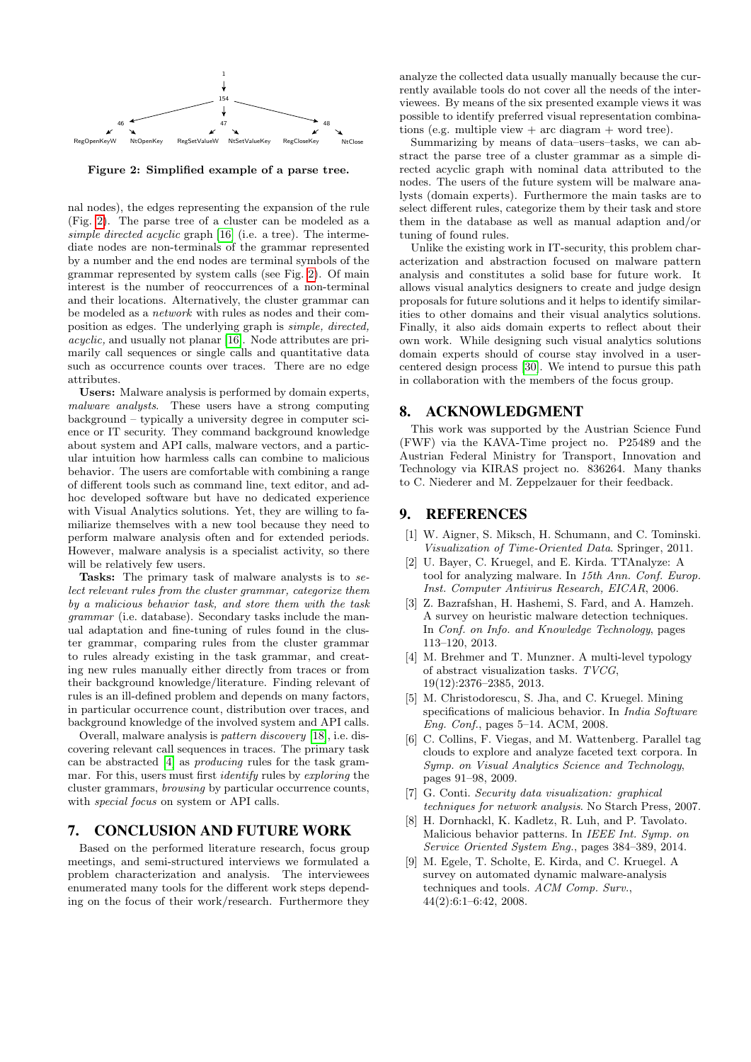

<span id="page-6-9"></span>Figure 2: Simplified example of a parse tree.

nal nodes), the edges representing the expansion of the rule (Fig. [2\)](#page-6-9). The parse tree of a cluster can be modeled as a simple directed acyclic graph [\[16\]](#page-7-33) (i.e. a tree). The intermediate nodes are non-terminals of the grammar represented by a number and the end nodes are terminal symbols of the grammar represented by system calls (see Fig. [2\)](#page-6-9). Of main interest is the number of reoccurrences of a non-terminal and their locations. Alternatively, the cluster grammar can be modeled as a network with rules as nodes and their composition as edges. The underlying graph is simple, directed, acyclic, and usually not planar [\[16\]](#page-7-33). Node attributes are primarily call sequences or single calls and quantitative data such as occurrence counts over traces. There are no edge attributes.

Users: Malware analysis is performed by domain experts, malware analysts. These users have a strong computing background – typically a university degree in computer science or IT security. They command background knowledge about system and API calls, malware vectors, and a particular intuition how harmless calls can combine to malicious behavior. The users are comfortable with combining a range of different tools such as command line, text editor, and adhoc developed software but have no dedicated experience with Visual Analytics solutions. Yet, they are willing to familiarize themselves with a new tool because they need to perform malware analysis often and for extended periods. However, malware analysis is a specialist activity, so there will be relatively few users.

Tasks: The primary task of malware analysts is to select relevant rules from the cluster grammar, categorize them by a malicious behavior task, and store them with the task grammar (i.e. database). Secondary tasks include the manual adaptation and fine-tuning of rules found in the cluster grammar, comparing rules from the cluster grammar to rules already existing in the task grammar, and creating new rules manually either directly from traces or from their background knowledge/literature. Finding relevant of rules is an ill-defined problem and depends on many factors, in particular occurrence count, distribution over traces, and background knowledge of the involved system and API calls.

Overall, malware analysis is pattern discovery [\[18\]](#page-7-34), i.e. discovering relevant call sequences in traces. The primary task can be abstracted [\[4\]](#page-6-10) as producing rules for the task grammar. For this, users must first identify rules by exploring the cluster grammars, browsing by particular occurrence counts, with *special focus* on system or API calls.

## <span id="page-6-1"></span>7. CONCLUSION AND FUTURE WORK

Based on the performed literature research, focus group meetings, and semi-structured interviews we formulated a problem characterization and analysis. The interviewees enumerated many tools for the different work steps depending on the focus of their work/research. Furthermore they

analyze the collected data usually manually because the currently available tools do not cover all the needs of the interviewees. By means of the six presented example views it was possible to identify preferred visual representation combinations (e.g. multiple view  $+$  arc diagram  $+$  word tree).

Summarizing by means of data–users–tasks, we can abstract the parse tree of a cluster grammar as a simple directed acyclic graph with nominal data attributed to the nodes. The users of the future system will be malware analysts (domain experts). Furthermore the main tasks are to select different rules, categorize them by their task and store them in the database as well as manual adaption and/or tuning of found rules.

Unlike the existing work in IT-security, this problem characterization and abstraction focused on malware pattern analysis and constitutes a solid base for future work. It allows visual analytics designers to create and judge design proposals for future solutions and it helps to identify similarities to other domains and their visual analytics solutions. Finally, it also aids domain experts to reflect about their own work. While designing such visual analytics solutions domain experts should of course stay involved in a usercentered design process [\[30\]](#page-7-19). We intend to pursue this path in collaboration with the members of the focus group.

## 8. ACKNOWLEDGMENT

This work was supported by the Austrian Science Fund (FWF) via the KAVA-Time project no. P25489 and the Austrian Federal Ministry for Transport, Innovation and Technology via KIRAS project no. 836264. Many thanks to C. Niederer and M. Zeppelzauer for their feedback.

#### 9. REFERENCES

- <span id="page-6-8"></span>[1] W. Aigner, S. Miksch, H. Schumann, and C. Tominski. Visualization of Time-Oriented Data. Springer, 2011.
- <span id="page-6-7"></span>[2] U. Bayer, C. Kruegel, and E. Kirda. TTAnalyze: A tool for analyzing malware. In 15th Ann. Conf. Europ. Inst. Computer Antivirus Research, EICAR, 2006.
- <span id="page-6-5"></span>[3] Z. Bazrafshan, H. Hashemi, S. Fard, and A. Hamzeh. A survey on heuristic malware detection techniques. In Conf. on Info. and Knowledge Technology, pages 113–120, 2013.
- <span id="page-6-10"></span>[4] M. Brehmer and T. Munzner. A multi-level typology of abstract visualization tasks. TVCG, 19(12):2376–2385, 2013.
- <span id="page-6-2"></span>[5] M. Christodorescu, S. Jha, and C. Kruegel. Mining specifications of malicious behavior. In India Software Eng. Conf., pages 5–14. ACM, 2008.
- <span id="page-6-6"></span>[6] C. Collins, F. Viegas, and M. Wattenberg. Parallel tag clouds to explore and analyze faceted text corpora. In Symp. on Visual Analytics Science and Technology, pages 91–98, 2009.
- <span id="page-6-4"></span>[7] G. Conti. Security data visualization: graphical techniques for network analysis. No Starch Press, 2007.
- <span id="page-6-3"></span>[8] H. Dornhackl, K. Kadletz, R. Luh, and P. Tavolato. Malicious behavior patterns. In IEEE Int. Symp. on Service Oriented System Eng., pages 384–389, 2014.
- <span id="page-6-0"></span>[9] M. Egele, T. Scholte, E. Kirda, and C. Kruegel. A survey on automated dynamic malware-analysis techniques and tools. ACM Comp. Surv., 44(2):6:1–6:42, 2008.